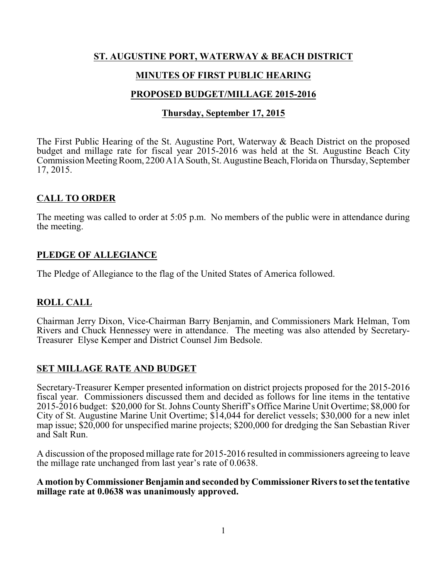## **ST. AUGUSTINE PORT, WATERWAY & BEACH DISTRICT**

# **MINUTES OF FIRST PUBLIC HEARING**

## **PROPOSED BUDGET/MILLAGE 2015-2016**

#### **Thursday, September 17, 2015**

The First Public Hearing of the St. Augustine Port, Waterway & Beach District on the proposed budget and millage rate for fiscal year 2015-2016 was held at the St. Augustine Beach City Commission Meeting Room, 2200 A1A South, St. Augustine Beach,Florida on Thursday, September 17, 2015.

# **CALL TO ORDER**

The meeting was called to order at 5:05 p.m. No members of the public were in attendance during the meeting.

## **PLEDGE OF ALLEGIANCE**

The Pledge of Allegiance to the flag of the United States of America followed.

# **ROLL CALL**

Chairman Jerry Dixon, Vice-Chairman Barry Benjamin, and Commissioners Mark Helman, Tom Rivers and Chuck Hennessey were in attendance. The meeting was also attended by Secretary-Treasurer Elyse Kemper and District Counsel Jim Bedsole.

# **SET MILLAGE RATE AND BUDGET**

Secretary-Treasurer Kemper presented information on district projects proposed for the 2015-2016 fiscal year. Commissioners discussed them and decided as follows for line items in the tentative 2015-2016 budget: \$20,000 for St. Johns County Sheriff's Office Marine Unit Overtime; \$8,000 for City of St. Augustine Marine Unit Overtime; \$14,044 for derelict vessels; \$30,000 for a new inlet map issue; \$20,000 for unspecified marine projects; \$200,000 for dredging the San Sebastian River and Salt Run.

A discussion of the proposed millage rate for 2015-2016 resulted in commissioners agreeing to leave the millage rate unchanged from last year's rate of 0.0638.

#### **A motion by CommissionerBenjamin and seconded by Commissioner Rivers to set the tentative millage rate at 0.0638 was unanimously approved.**